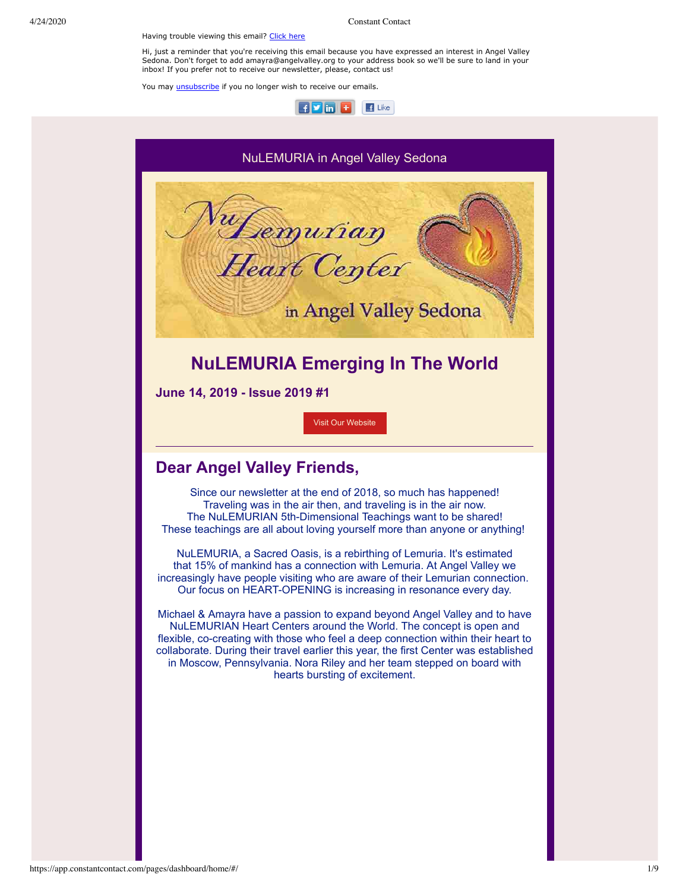Having trouble viewing this email? [Click](http://campaign.r20.constantcontact.com/render?preview=true&m=1101697492566&ca=d54703cc-9a24-42cd-bba6-9975530f4072&id=preview) here

4/24/2020 Constant Contact

Hi, just a reminder that you're receiving this email because you have expressed an interest in Angel Valley Sedona. Don't forget to add amayra@angelvalley.org to your address book so we'll be sure to land in your inbox! If you prefer not to receive our newsletter, please, contact us!

You may *[unsubscribe](https://visitor.constantcontact.com/do?p=un&mse=001ti8yLLtrqgo36eR38SBBa6wUymXQPaln&t=001FgaxMtzZRXpcpEsZmCz1qg%3D%3D&id=001b-xBWU3VMkeHG636fyldaJwyJdmttLb4&llr=wsjtebcab)* if you no longer wish to receive our emails.



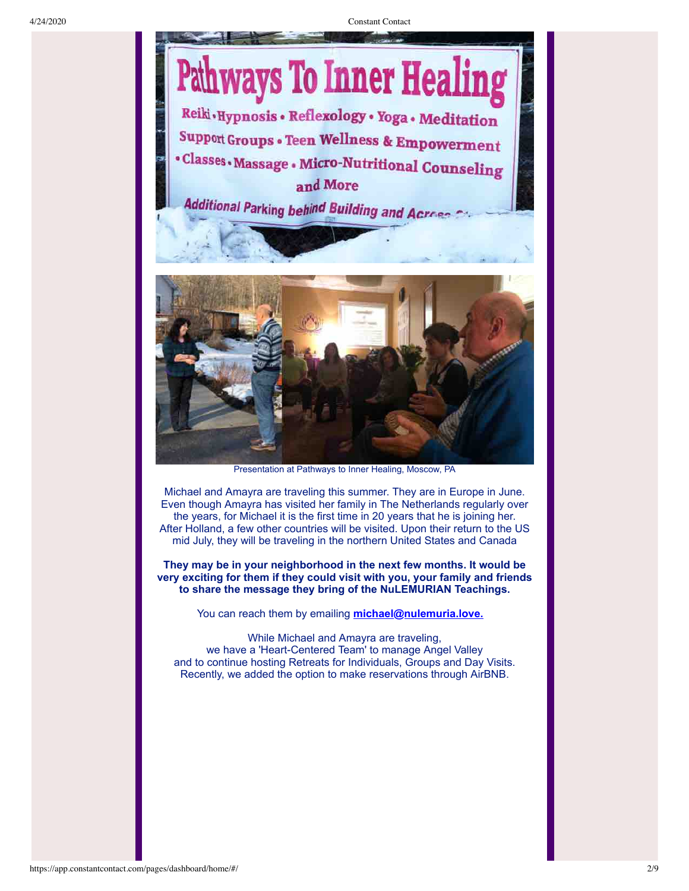

Presentation at Pathways to Inner Healing, Moscow, PA

Michael and Amayra are traveling this summer. They are in Europe in June. Even though Amayra has visited her family in The Netherlands regularly over the years, for Michael it is the first time in 20 years that he is joining her. After Holland, a few other countries will be visited. Upon their return to the US mid July, they will be traveling in the northern United States and Canada

**They may be in your neighborhood in the next few months. It would be very exciting for them if they could visit with you, your family and friends to share the message they bring of the NuLEMURIAN Teachings.**

You can reach them by emailing **[michael@nulemuria.love.](mailto:michael@nulemuria.love)** 

While Michael and Amayra are traveling, we have a 'Heart-Centered Team' to manage Angel Valley and to continue hosting Retreats for Individuals, Groups and Day Visits. Recently, we added the option to make reservations through AirBNB.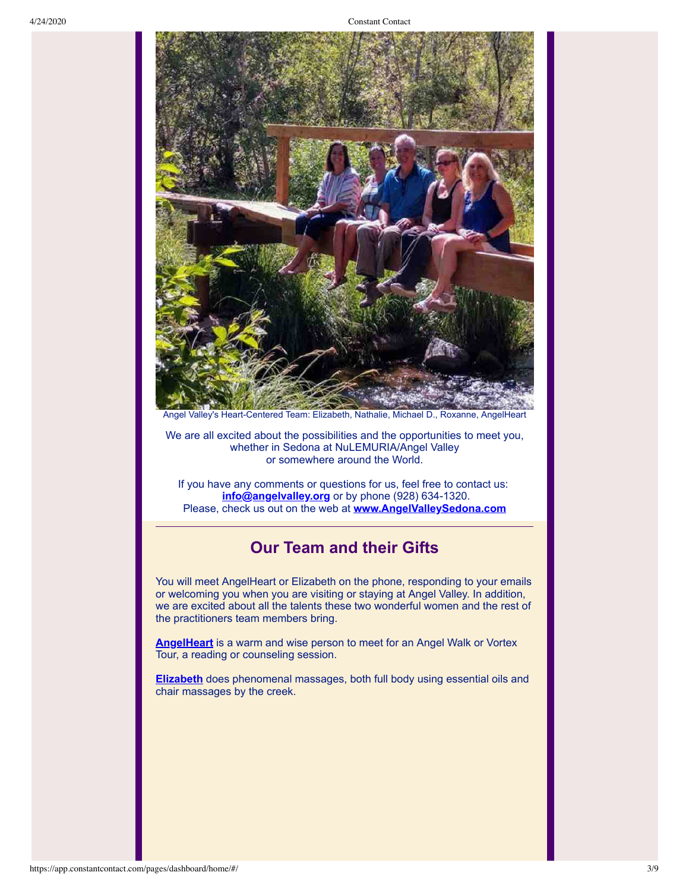

We are all excited about the possibilities and the opportunities to meet you, whether in Sedona at NuLEMURIA/Angel Valley or somewhere around the World.

If you have any comments or questions for us, feel free to contact us: **[info@angelvalley.org](mailto:info@angelvalley.org)** or by phone (928) 634-1320. Please, check us out on the web at **[www.AngelValleySedona.com](http://www.angelvalleysedona.com/)**

#### **Our Team and their Gifts**

You will meet AngelHeart or Elizabeth on the phone, responding to your emails or welcoming you when you are visiting or staying at Angel Valley. In addition, we are excited about all the talents these two wonderful women and the rest of the practitioners team members bring.

**[AngelHeart](http://www.angelvalleysedona.com/pages/services/practitioners/angelheart.html)** is a warm and wise person to meet for an Angel Walk or Vortex Tour, a reading or counseling session.

**[Elizabeth](http://www.angelvalleysedona.com/pages/services/practitioners/elizabethbrito.html)** does phenomenal massages, both full body using essential oils and chair massages by the creek.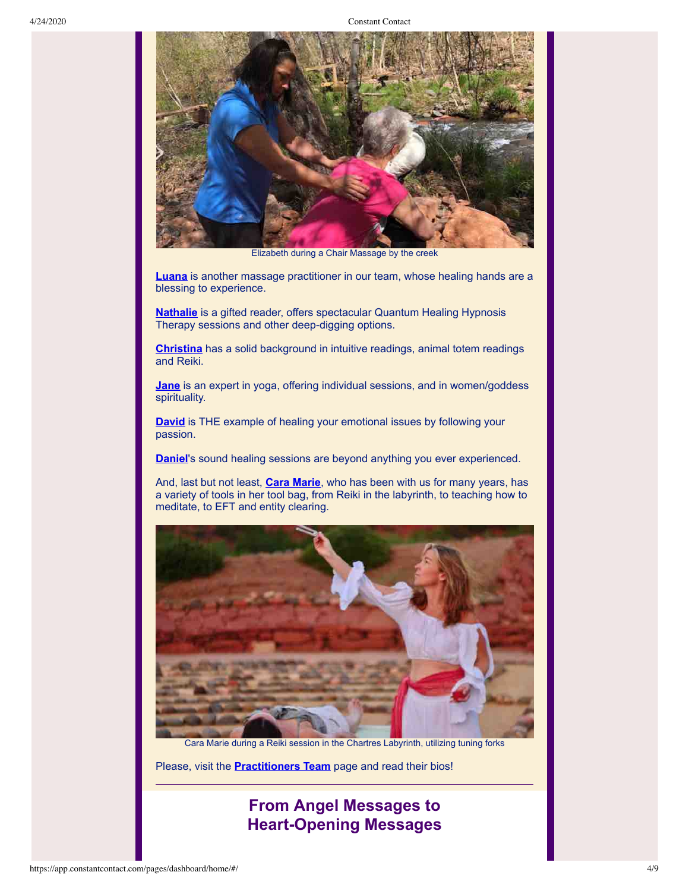

Elizabeth during a Chair Massage by the creek

**[Luana](http://www.angelvalleysedona.com/pages/services/practitioners/luanajoyalucia.html)** is another massage practitioner in our team, whose healing hands are a blessing to experience.

**[Nathalie](http://www.angelvalleysedona.com/pages/services/practitioners/nathaliecouture.html)** is a gifted reader, offers spectacular Quantum Healing Hypnosis Therapy sessions and other deep-digging options.

**[Christina](http://www.angelvalleysedona.com/pages/services/practitioners/christinawooten.html)** has a solid background in intuitive readings, animal totem readings and Reiki.

**[Jane](http://www.angelvalleysedona.com/pages/services/practitioners/janemontgomery.html)** is an expert in yoga, offering individual sessions, and in women/goddess spirituality.

**[David](http://www.angelvalleysedona.com/pages/services/practitioners/davidmontgomery.html)** is THE example of healing your emotional issues by following your passion.

**[Daniel](http://www.angelvalleysedona.com/pages/services/practitioners/danielposney.html)**'s sound healing sessions are beyond anything you ever experienced.

And, last but not least, **[Cara Marie](http://www.angelvalleysedona.com/pages/services/practitioners/caramariepetrone.html)**, who has been with us for many years, has a variety of tools in her tool bag, from Reiki in the labyrinth, to teaching how to meditate, to EFT and entity clearing.



Cara Marie during a Reiki session in the Chartres Labyrinth, utilizing tuning forks

Please, visit the **[Practitioners Team](http://www.angelvalleysedona.com/pages/services/practitioners.html)** page and read their bios!

### **From Angel Messages to Heart-Opening Messages**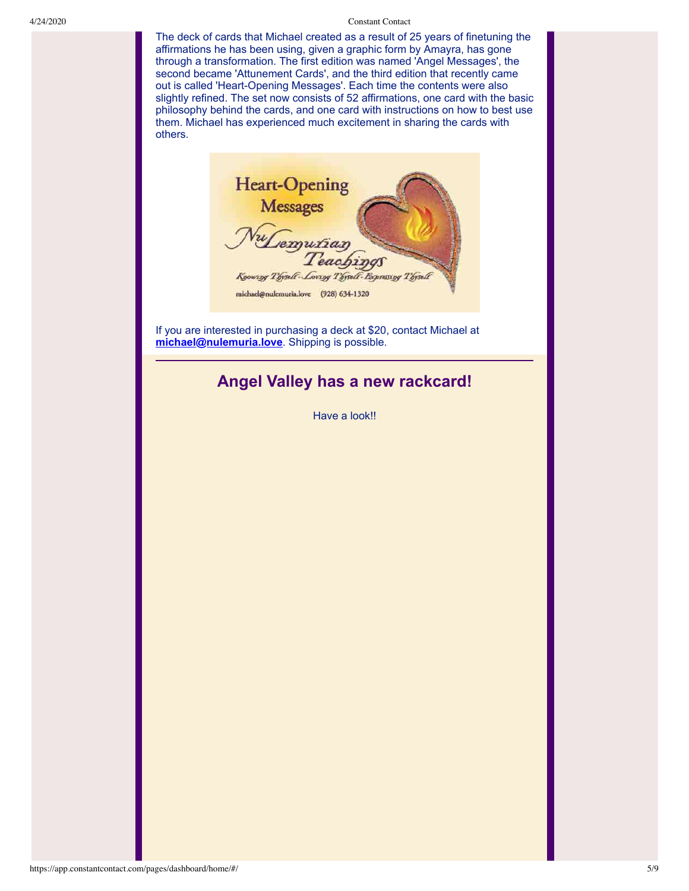The deck of cards that Michael created as a result of 25 years of finetuning the affirmations he has been using, given a graphic form by Amayra, has gone through a transformation. The first edition was named 'Angel Messages', the second became 'Attunement Cards', and the third edition that recently came out is called 'Heart-Opening Messages'. Each time the contents were also slightly refined. The set now consists of 52 affirmations, one card with the basic philosophy behind the cards, and one card with instructions on how to best use them. Michael has experienced much excitement in sharing the cards with others.

**Heart-Opening** Messages<br>Wemurian Knowing Thyself-Lowing Thyself-Papersing Thysel michael@nulemuria.love (928) 634-1320

If you are interested in purchasing a deck at \$20, contact Michael at **[michael@nulemuria.love](mailto:michael@nulemuria.love)**. Shipping is possible.

## **Angel Valley has a new rackcard!**

Have a look!!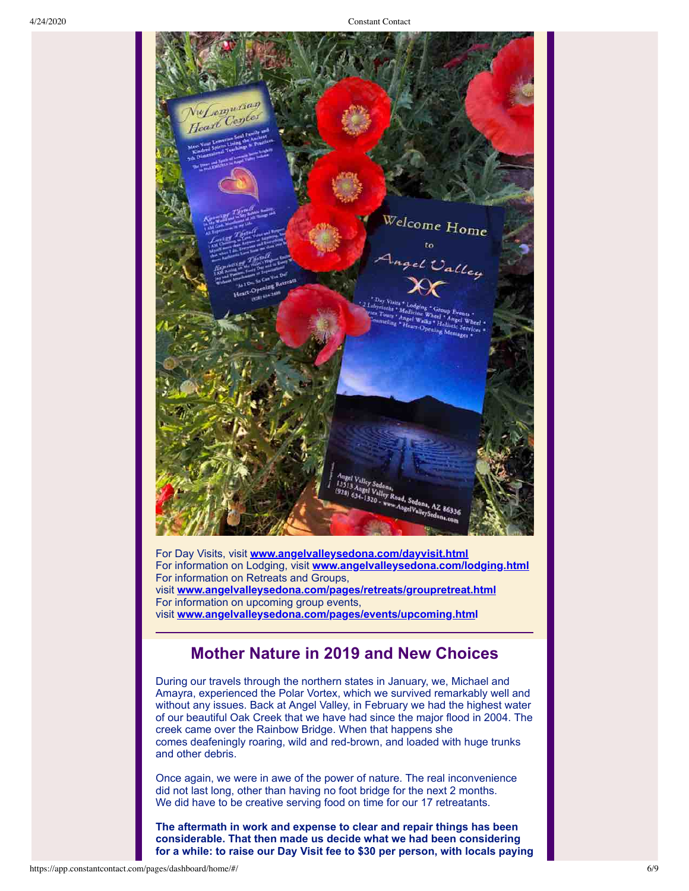

For Day Visits, visit **[www.angelvalleysedona.com/dayvisit.html](http://www.angelvalleysedona.com/dayvisit.html)** For information on Lodging, visit **[www.angelvalleysedona.com/lodging.html](http://www.angelvalleysedona.com/lodging.html)** For information on Retreats and Groups, visit **[www.angelvalleysedona.com/pages/retreats/groupretreat.html](http://www.angelvalleysedona.com/groups.html)** For information on upcoming group events, visit **[www.angelvalleysedona.com/pages/events/upcoming.htm](http://www.angelvalleysedona.com/pages/events/upcoming.html)l**

#### **Mother Nature in 2019 and New Choices**

During our travels through the northern states in January, we, Michael and Amayra, experienced the Polar Vortex, which we survived remarkably well and without any issues. Back at Angel Valley, in February we had the highest water of our beautiful Oak Creek that we have had since the major flood in 2004. The creek came over the Rainbow Bridge. When that happens she comes deafeningly roaring, wild and red-brown, and loaded with huge trunks and other debris.

Once again, we were in awe of the power of nature. The real inconvenience did not last long, other than having no foot bridge for the next 2 months. We did have to be creative serving food on time for our 17 retreatants.

**The aftermath in work and expense to clear and repair things has been considerable. That then made us decide what we had been considering for a while: to raise our Day Visit fee to \$30 per person, with locals paying**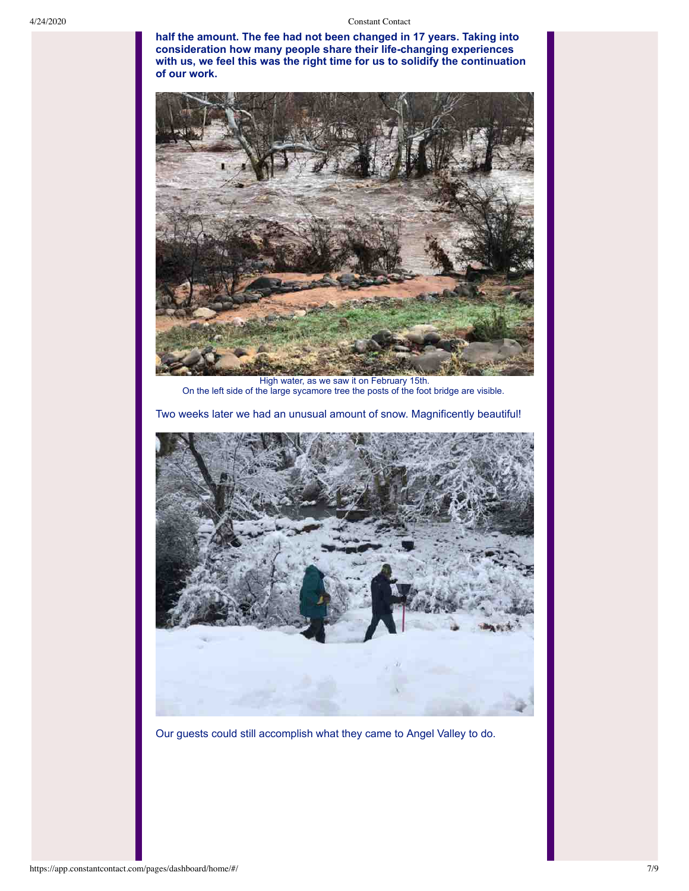**half the amount. The fee had not been changed in 17 years. Taking into consideration how many people share their life-changing experiences with us, we feel this was the right time for us to solidify the continuation of our work.**



High water, as we saw it on February 15th. On the left side of the large sycamore tree the posts of the foot bridge are visible.

Two weeks later we had an unusual amount of snow. Magnificently beautiful!



Our guests could still accomplish what they came to Angel Valley to do.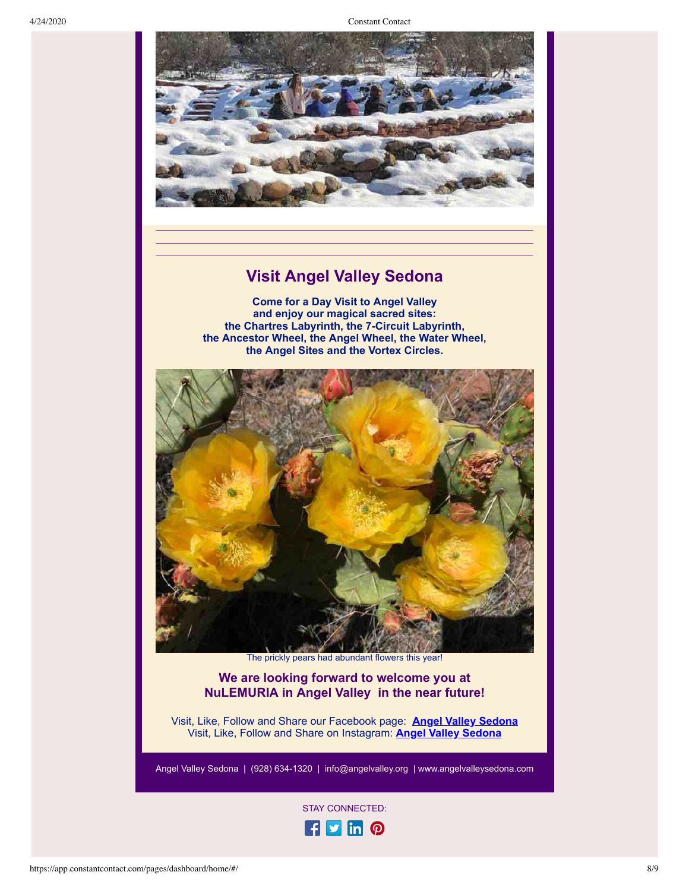

# **Visit Angel Valley Sedona**

**Come for a Day Visit to Angel Valley and enjoy our magical sacred sites: the Chartres Labyrinth, the 7-Circuit Labyrinth, the Ancestor Wheel, the Angel Wheel, the Water Wheel, the Angel Sites and the Vortex Circles.**



The prickly pears had abundant flowers this year!

#### **We are looking forward to welcome you at NuLEMURIA in Angel Valley in the near future!**

Visit, Like, Follow and Share our Facebook page: **[Angel Valley Sedona](https://www.facebook.com/angel.valley.sedona/)** Visit, Like, Follow and Share on Instagram: **[Angel Valley Sedona](https://www.instagram.com/angelvalleysedona/)**

Angel Valley Sedona | (928) 634-1320 | [info@angelvalley.org](mailto:amayra@angelvalley.org) | [www.angelvalleysedona.com](http://www.angelvalleysedona.com/)

STAY CONNECTED: